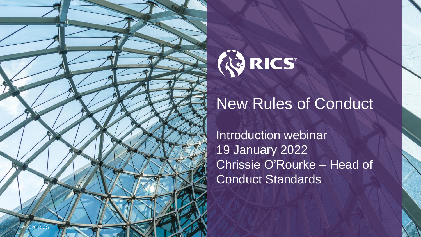

# WRICS®

## New Rules of Conduct

Introduction webinar 19 January 2022 Chrissie O'Rourke – Head of Conduct Standards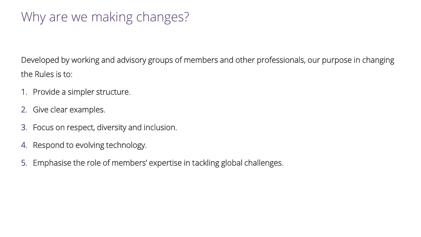### Why are we making changes?

Developed by working and advisory groups of members and other professionals, our purpose in changing the Rules is to:

- 1. Provide a simpler structure.
- 2. Give clear examples.
- 3. Focus on respect, diversity and inclusion.
- 4. Respond to evolving technology.
- 5. Emphasise the role of members' expertise in tackling global challenges.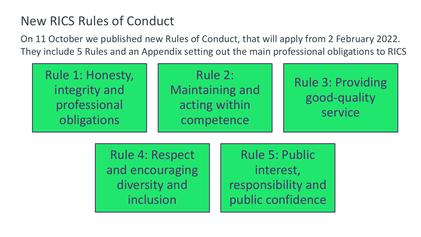#### New RICS Rules of Conduct

On 11 October we published new Rules of Conduct, that will apply from 2 February 2022. They include 5 Rules and an Appendix setting out the main professional obligations to RICS

Rule 1: Honesty, integrity and professional obligations

Rule 2: Maintaining and acting within competence

#### Rule 3: Providing good-quality service

Rule 4: Respect and encouraging diversity and inclusion

Rule 5: Public interest, responsibility and public confidence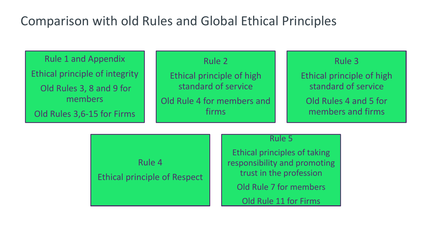#### Comparison with old Rules and Global Ethical Principles

Rule 1 and Appendix Ethical principle of integrity Old Rules 3, 8 and 9 for members Old Rules 3,6-15 for Firms

Rule 2

Ethical principle of high standard of service Old Rule 4 for members and firms

#### Rule 3

Ethical principle of high standard of service Old Rules 4 and 5 for

members and firms

Rule 4 Ethical principle of Respect Rule 5

Ethical principles of taking responsibility and promoting trust in the profession

Old Rule 7 for members

Old Rule 11 for Firms